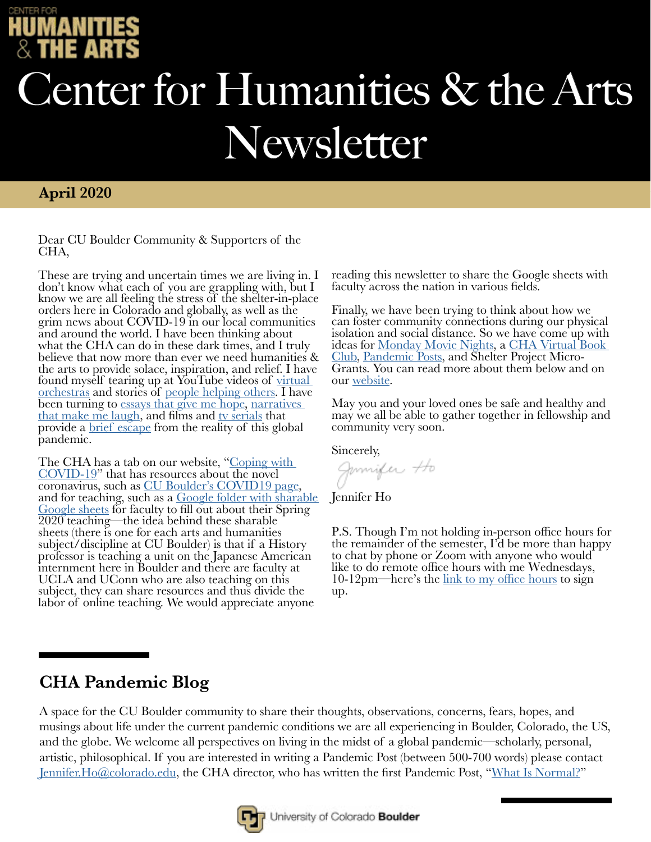# Center for Humanities & the Arts Newsletter

### **April 2020**

Dear CU Boulder Community & Supporters of the CHA,

These are trying and uncertain times we are living in. I don't know what each of you are grappling with, but I know we are all feeling the stress of the shelter-in-place orders here in Colorado and globally, as well as the grim news about COVID-19 in our local communities and around the world. I have been thinking about what the CHA can do in these dark times, and I truly believe that now more than ever we need humanities & the arts to provide solace, inspiration, and relief. I have found myself tearing up at YouTube videos of virtual [orchestras](https://www.youtube.com/watch?v=QagzdvzzHBQ&feature=youtu.be) and stories of [people helping others.](https://www.youtube.com/watch?v=ZPkm0KqVUVA&feature=youtu.be) I have <u>bethese as</u> and stortes of people needed somes contained been turning to [essays that give me hope](https://www.rossgay.net/books), narratives [that make me laugh](https://www.aliwong.com/deargirls), and films and [tv serials](https://www.cbs.com/shows/star-trek-picard/) that provide a [brief escape](https://www.youtube.com/watch?v=AMgyWT075KY&feature=youtu.be) from the reality of this global pandemic.

[The CHA h](https://www.colorado.edu/cha/coping-covid-19)as a tab on our website, "[Coping with COVID-19](https://www.colorado.edu/cha/coping-covid-19)" that has resources about the novel<br>coronavirus, such as CU Boulder's COVID19 page, coronavirus, such as <u>CU Boulder's COVID19 page,</u><br>and for teaching, su[ch as a](https://www.colorado.edu/coronavirus) <u>Google folder with sharable</u><br>Google sheets for faculty to fill out about their Spring 2020 teaching—the idea behind these sharable sheets (there is one for each arts and humanities subject/discipline at CU Boulder) is that if a History professor is teaching a unit on the Japanese American internment here in Boulder and there are faculty at UCLA and UConn who are also teaching on this subject, they can share resources and thus divide the labor of online teaching. We would appreciate anyone

reading this newsletter to share the Google sheets with faculty across the nation in various fields.

Finally, we have been trying to think about how we can foster community connections during our physical isolation and social distance. So we have come up with ideas for [Monday Movie Nights](https://www.colorado.edu/cha/coping-covid-19/inspiration-entertainment), a [CHA Virtual Book](https://www.colorado.edu/cha/coping-covid-19/inspiration-entertainment)  [Club,](https://www.colorado.edu/cha/coping-covid-19/inspiration-entertainment) [Pandemic Posts,](https://www.colorado.edu/cha/coping-covid-19/pandemic-posts) and Shelter Project Micro- Grants. You can read more about them below and on our [website.](https://www.colorado.edu/cha/)

May you and your loved ones be safe and healthy and may we all be able to gather together in fellowship and community very soon.

Sincerely,<br>*Jannifer Ho* 

Jennifer Ho

P.S. Though I'm not holding in-person office hours for the remainder of the semester, I'd be more than happy to chat by phone or Zoom with anyone who would like to do remote office hours with me Wednesdays, 10-12pm—here's the [link to my office hours](https://docs.google.com/spreadsheets/d/1EsIPttzTpscLldKxMP1sAfgYwczzr16MMFCYs3foGzc/edit#gid=0) to sign up.

## **CHA Pandemic Blog**

A space for the CU Boulder community to share their thoughts, observations, concerns, fears, hopes, and musings about life under the current pandemic conditions we are all experiencing in Boulder, Colorado, the US, and the globe. We welcome all perspectives on living in the midst of a global pandemic—scholarly, personal, artistic, philosophical. If you are interested in writing a Pandemic Post (between 500-700 words) please contact [Jennifer.Ho@colorado.edu](https://www.colorado.edu/ethnicstudies/people/core-faculty/jennifer-ho), the CHA director, who has written the first Pandemic Post, "[What Is Normal?](https://www.colorado.edu/cha/coping-covid-19/pandemic-posts)"

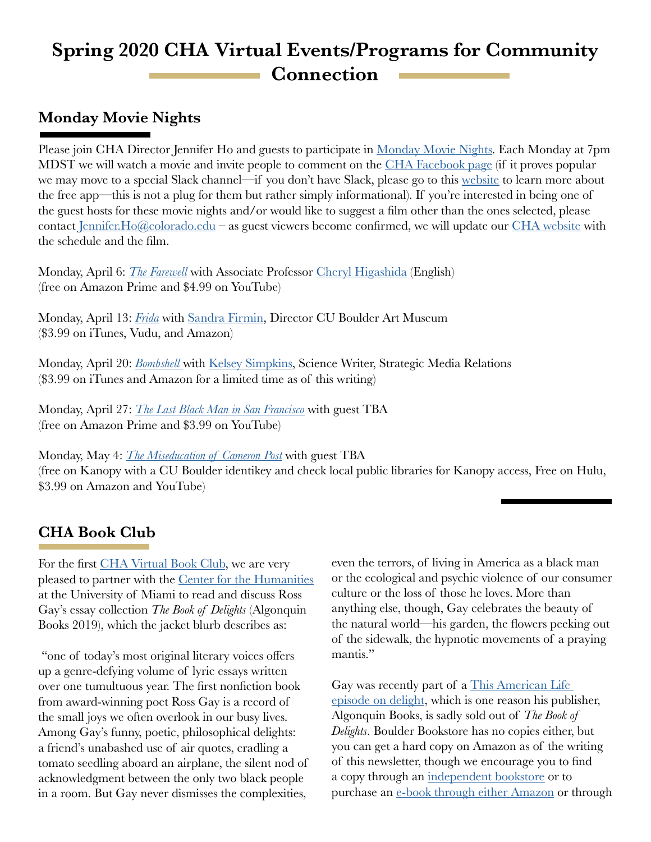## **Spring 2020 CHA Virtual Events/Programs for Community Connection**

## **Monday Movie Nights**

Please join CHA Director Jennifer Ho and guests to participate in [Monday Movie Nights](https://www.colorado.edu/cha/coping-covid-19/inspiration-entertainment). Each Monday at 7pm MDST we will watch a movie and invite people to comment on the [CHA Facebook page](https://www.facebook.com/CU-Boulder-Center-for-Humanities-and-the-Arts-110344342360729/) (if it proves popular we may move to a special Slack channel—if you don't have Slack, please go to this [website](https://slack.com/) to learn more about the free app—this is not a plug for them but rather simply informational). If you're interested in being one of the guest hosts for these movie nights and/or would like to suggest a film other than the ones selected, please contact Jennifer. Ho $@$ colorado.edu – as guest viewers become confirmed, we will update our [CHA website](https://www.colorado.edu/cha/coping-covid-19/inspiration-entertainment) with the schedule and the film.

Monday, April 6: *[The Farewell](https://www.youtube.com/watch?v=RofpAjqwMa8&feature=youtu.be)* with Associate Professor [Cheryl Higashida](https://www.colorado.edu/english/cheryl-higashida) (English) (free on Amazon Prime and \$4.99 on YouTube)

Monday, April 13: *[Frida](https://www.youtube.com/watch?v=-CTM7FcY1LE&feature=youtu.be)* with [Sandra Firmin,](https://www.colorado.edu/cuartmuseum/about/staff/sandra-q-firmin) Director CU Boulder Art Museum (\$3.99 on iTunes, Vudu, and Amazon)

Monday, April 20: *[Bombshell](https://www.youtube.com/watch?v=0rBnkBIhoFE&feature=youtu.be)* with [Kelsey Simpkins,](https://www.colorado.edu/today/kelsey-simpkins) Science Writer, Strategic Media Relations (\$3.99 on iTunes and Amazon for a limited time as of this writing)

Monday, April 27: *[The Last Black Man in San Francisco](https://www.youtube.com/watch?v=C0FnJDhY9-0&feature=youtu.be)* with guest TBA (free on Amazon Prime and \$3.99 on YouTube)

Monday, May 4: *[The Miseducation of Cameron Post](https://www.youtube.com/watch?v=toXBb638n2Y&feature=youtu.be)* with guest TBA (free on Kanopy with a CU Boulder identikey and check local public libraries for Kanopy access, Free on Hulu, \$3.99 on Amazon and YouTube)

## **CHA Book Club**

For the first [CHA Virtual Book Club,](https://www.colorado.edu/cha/coping-covid-19/inspiration-entertainment) we are very pleased to partner with the [Center for the Humanities](https://humanities.as.miami.edu/index.html) at the University of Miami to read and discuss Ross Gay's essay collection *The Book of Delights* (Algonquin Books 2019), which the jacket blurb describes as:

 "one of today's most original literary voices offers up a genre-defying volume of lyric essays written over one tumultuous year. The first nonfiction book from award-winning poet Ross Gay is a record of the small joys we often overlook in our busy lives. Among Gay's funny, poetic, philosophical delights: a friend's unabashed use of air quotes, cradling a tomato seedling aboard an airplane, the silent nod of acknowledgment between the only two black people in a room. But Gay never dismisses the complexities,

even the terrors, of living in America as a black man or the ecological and psychic violence of our consumer culture or the loss of those he loves. More than anything else, though, Gay celebrates the beauty of the natural world—his garden, the flowers peeking out of the sidewalk, the hypnotic movements of a praying mantis."

Gay was recently part of a [This American Life](https://www.thisamericanlife.org/692/the-show-of-delights/act-one-5)  [episode on delight](https://www.thisamericanlife.org/692/the-show-of-delights/act-one-5), which is one reason his publisher, Algonquin Books, is sadly sold out of *The Book of Delights*. Boulder Bookstore has no copies either, but you can get a hard copy on Amazon as of the writing of this newsletter, though we encourage you to find a copy through an [independent bookstore](https://www.indiebound.org/) or to purchase an [e-book through either Amazon](https://www.amazon.com/Book-Delights-Essays-Ross-Gay-ebook/dp/B079VW23B5/ref=tmm_kin_swatch_0?_encoding=UTF8&qid=&sr=) or through